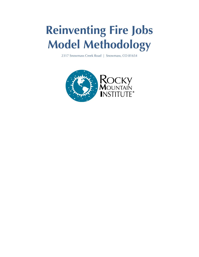# **Reinventing Fire Jobs Model Methodology**

2317 Snowmass Creek Road | Snowmass, CO 81654

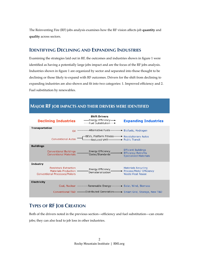The Reinventing Fire (RF) jobs analysis examines how the RF vision affects job **quantity** and **quality** across sectors.

## **IDENTIFYING DECLINING AND EXPANDING INDUSTRIES**

Examining the strategies laid out in RF, the outcomes and industries shown in figure 1 were identified as having a potentially large jobs impact and are the focus of the RF jobs analysis. Industries shown in figure 1 are organized by sector and separated into those thought to be declining or those likely to expand with RF outcomes. Drivers for the shift from declining to expanding industries are also shown and fit into two categories: 1. Improved efficiency and 2. Fuel substitution by renewables.

# **MAJOR RF JOB IMPACTS AND THEIR DRIVERS WERE IDENTIFIED**



# **TYPES OF RF JOB CREATION**

Both of the drivers noted in the previous section—efficiency and fuel substitution—can create jobs; they can also lead to job loss in other industries.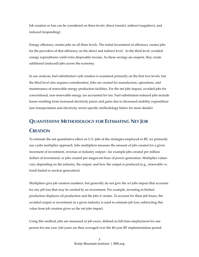Job creation or loss can be considered on three levels: direct (onsite), indirect (suppliers), and induced (respending).

Energy efficiency creates jobs on all three levels. The initial investment in efficiency creates jobs for the providers of that efficiency on the direct and indirect level. At the third level, avoided energy expenditures yield extra disposable income. As these savings are respent, they create additional (induced) jobs across the economy.

In our analysis, fuel substitution's job creation is examined primarily on the first two levels, but the third level also requires consideration. Jobs are created for manufacture, operations, and maintenance of renewable energy production facilities. For the net jobs impact, avoided jobs for conventional, non-renewable energy are accounted for too. Fuel substitution induced jobs include losses resulting from increased electricity prices and gains due to decreased mobility expenditure (see transportation and electricity sector-specific methodology below for more details).

### **QUANTITATIVE METHODOLOGY FOR ESTIMATING NET JOB**

#### **CREATION**

To estimate the net quantitative effect on U.S. jobs of the strategies employed in RF, we primarily use a jobs multiplier approach. Jobs multipliers measure the amount of jobs created for a given increment of investment, revenue or industry output—for example jobs created per million dollars of investment, or jobs created per megawatt-hour of power generation. Multiplier values vary depending on the industry, the output, and how the output is produced (e.g., renewable vs. fossil-fueled or nuclear generation).

Multipliers give job creation numbers, but generally do not give the *net* jobs impact that accounts for any job loss that may be created by an investment. For example, investing in biofuel production displaces oil production and the jobs it creates. To account for these job losses, the avoided output or investment in a given industry is used to estimate job loss; subtracting this value from job creation gives us the net jobs impact.

Using this method, jobs are measured in job-years, defined as full-time employment for one person for one year. Job-years are then averaged over the 40-year RF implementation period,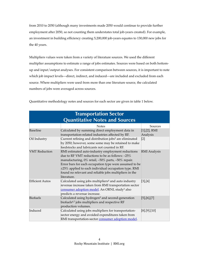from 2010 to 2050 (although many investments made 2050 would continue to provide further employment after 2050, so not counting them understates total job-years created). For example, an investment in building efficiency creating 5,200,000 job-years equates to 130,000 new jobs for the 40 years.

Multipliers values were taken from a variety of literature sources. We used the different multiplier assumptions to estimate a range of jobs estimates. Sources were based on both bottomup and input/output analyses. For consistent comparison between sources, it is important to note which job impact levels—direct, indirect, and induced—are included and excluded from each source. Where multipliers were used from more than one literature source, the calculated numbers of jobs were averaged across sources.

| <b>Transportation Sector</b><br><b>Quantitative Notes and Sources</b> |                                                                                                                                                                                                                                                                                                                                                       |                                 |
|-----------------------------------------------------------------------|-------------------------------------------------------------------------------------------------------------------------------------------------------------------------------------------------------------------------------------------------------------------------------------------------------------------------------------------------------|---------------------------------|
|                                                                       | <b>Notes</b>                                                                                                                                                                                                                                                                                                                                          | Sources                         |
| <b>Baseline</b>                                                       | Calculated by summing direct employment data in<br>transportation-related industries affected by RF.                                                                                                                                                                                                                                                  | $[1]$ , $[2]$ , RMI<br>Analysis |
| Oil Industry                                                          | Current refining and distribution jobs <sup>2</sup> are eliminated<br>by 2050; however, some some may be retained to make<br>feedstocks and lubricants not counted in RF.                                                                                                                                                                             | $\lceil 2 \rceil$               |
| <b>VMT</b> Reduction                                                  | RMI estimated auto-industry employment reductions<br>due to RF VMT reductions to be as follows: -25%<br>manufacturing, 0% retail, -50% parts, -50% repair.<br>Error bars for each occupation type were assumed to be<br>±25% applied to each individual occupation type. RMI<br>found no relevant and reliable jobs multipliers in the<br>literature. | <b>RMI</b> Analysis             |
| <b>Efficient Autos</b>                                                | Calculated using jobs multipliers <sup>4</sup> and auto industry<br>revenue increase taken from RMI transportation sector<br>consumer adoption model. An ORNL study <sup>3</sup> also<br>predicts a revenue increase.                                                                                                                                 | [3],[4]                         |
| <b>Biofuels</b>                                                       | Calculated using hydrogen <sup>5</sup> and second-generation<br>biofuels <sup>6,7</sup> jobs multipliers and respective RF<br>production volumes.                                                                                                                                                                                                     | $[5]$ , $[6]$ , $[7]$           |
| Induced                                                               | Calculated using jobs multipliers for transportation-<br>sector energy and avoided expenditures taken from<br>RMI transportation-sector consumer adoption model.                                                                                                                                                                                      | $[8]$ .[9].[10]                 |

Quantitative methodology notes and sources for each sector are given in table 1 below.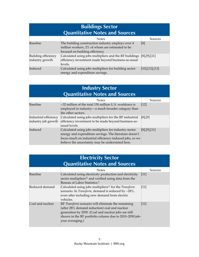| <b>Buildings Sector</b><br><b>Quantitative Notes and Sources</b> |                                                                                                                                         |                   |
|------------------------------------------------------------------|-----------------------------------------------------------------------------------------------------------------------------------------|-------------------|
|                                                                  | <b>Notes</b>                                                                                                                            | Sources           |
| Baseline                                                         | The building construction industry employs over 4<br>million workers, 2% of whom are estimated to be<br>focused on building efficiency. | [8]               |
| Building efficiency<br>industry growth                           | Calculated using jobs multipliers and the RF buildings<br>efficiency investment made beyond business-as-usual<br>levels.                | $[8]$ , [9], [11] |
| Induced                                                          | Calculated using jobs multipliers for building sector<br>energy and expenditure savings.                                                | [10],[12],[13]    |

| <b>Industry Sector</b><br><b>Quantitative Notes and Sources</b> |                                                                                                                                                                                                                                |                        |
|-----------------------------------------------------------------|--------------------------------------------------------------------------------------------------------------------------------------------------------------------------------------------------------------------------------|------------------------|
|                                                                 | <b>Notes</b>                                                                                                                                                                                                                   | Sources                |
| <b>Baseline</b>                                                 | ~32 million of the total 150 million U.S. workforce is<br>employed in industry—a much broader category than<br>the other sectors.                                                                                              | $[12]$                 |
| Industrial efficiency<br>industry job growth                    | Calculated using jobs multipliers for the RF industrial<br>efficiency investment to be made beyond business-as-<br>usual levels.                                                                                               | $[8]$ , $[9]$          |
| Induced                                                         | Calculated using jobs multipliers for industry-sector<br>energy and expenditure savings. The literature doesn't<br>focus much on industrial efficiency-induced jobs, so we<br>believe the uncertainty may be understated here. | $[8]$ , $[9]$ , $[11]$ |

| <b>Electricity Sector</b><br><b>Quantitative Notes and Sources</b> |                                                                                                                                                                                                                                           |         |
|--------------------------------------------------------------------|-------------------------------------------------------------------------------------------------------------------------------------------------------------------------------------------------------------------------------------------|---------|
|                                                                    | <b>Notes</b>                                                                                                                                                                                                                              | Sources |
| <b>Baseline</b>                                                    | Calculated using electricity production and electricity<br>sector multipliers <sup>11</sup> and verified using data from the<br>Bureau of Labor Statistics. <sup>2</sup>                                                                  | $[11]$  |
| Reduced demand                                                     | Calculated using jobs multipliers <sup>11</sup> for the Transform<br>scenario. In <i>Transform</i> , demand is reduced by $\sim 28\%$ ,<br>even after including new demand from electric<br>vehicles.                                     | $[11]$  |
| Coal and nuclear                                                   | RF Transform scenario will eliminate the remaining<br>(after 28% demand reduction) coal and nuclear<br>generation by 2050. (Coal and nuclear jobs are still<br>shown in the RF portfolio column due to 2010-2050 job-<br>year averaging.) | $[11]$  |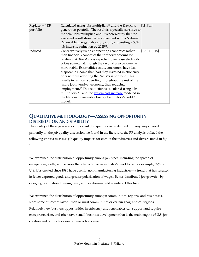| Replace w/RF<br>portfolio | Calculated using jobs multipliers <sup>11</sup> and the Transform<br>generation portfolio. The result is especially sensitive to<br>the solar jobs multiplier, and it is noteworthy that the<br>averaged result shown is in agreement with a National<br>Renewable Energy Laboratory study suggesting a 50%<br>job intensity reduction by 2025 <sup>14</sup> .                                                                                                                                                                                                                                                                                                                                                              | [11],[14]      |
|---------------------------|-----------------------------------------------------------------------------------------------------------------------------------------------------------------------------------------------------------------------------------------------------------------------------------------------------------------------------------------------------------------------------------------------------------------------------------------------------------------------------------------------------------------------------------------------------------------------------------------------------------------------------------------------------------------------------------------------------------------------------|----------------|
| Induced                   | Conservatively using engineering economics rather<br>than financial economics that properly account for<br>relative risk, Transform is expected to increase electricity<br>prices somewhat, though they would also become far<br>more stable. Externalities aside, consumers have less<br>disposable income than had they invested in efficiency<br>only without adopting the Transform portfolio. This<br>results in reduced spending throughout the rest of the<br>[more job-intensive] economy, thus reducing<br>employment. <sup>15</sup> This reduction is calculated using jobs<br>multipliers <sup>10,11</sup> and the system cost increase modeled in<br>the National Renewable Energy Laboratory's ReEDS<br>model. | [10],[11],[15] |

### **QUALITATIVE METHODOLOGY—ASSESSING OPPORTUNITY DISTRIBUTION AND STABILITY**

The quality of these jobs is also important. Job quality can be defined in many ways; based primarily on the job quality discussion we found in the literature, the RF analysis utilized the following criteria to assess job quality impacts for each of the industries and drivers noted in fig 1.

We examined the distribution of opportunity among job types, including the spread of occupations, skills, and salaries that characterize an industry's workforce. For example, 97% of U.S. jobs created since 1990 have been in non-manufacturing industries—a trend that has resulted in fewer exported goods and greater polarization of wages. Better-distributed job growth—by category, occupation, training level, and location—could counteract this trend.

We examined the distribution of opportunity amongst communities, regions, and businesses, since some outcomes favor urban or rural communities or certain geographical regions. Relatively new business opportunities in efficiency and renewables can support and require entrepreneurism, and often favor small-business development that is the main engine of U.S. job creation and of much socioeconomic advancement.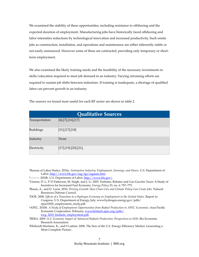We examined the stability of these opportunities, including resistance to offshoring and the expected duration of employment. Manufacturing jobs have historically faced offshoring and labor intensities reductions by technological innovation and increased productivity. Such onsite jobs as construction, installation, and operations and maintenance are either inherently stable or not easily outsourced. However some of these are contracted, providing only temporary or shortterm employment.

We also examined the likely training needs and the feasibility of the necessary investments in skills/education required to meet job demand in an industry. Varying retraining efforts are required to sustain job shifts between industries. If training is inadequate, a shortage of qualified labor can prevent growth in an industry.

| <b>Qualitative Sources</b> |                         |  |
|----------------------------|-------------------------|--|
| Transportation             | $[4]$ , [7], [16], [17] |  |
| <b>Buildings</b>           | [11],[17],[18]          |  |
| Industry                   | None                    |  |
| Electricity                | [17],[19],[20],[21],    |  |

The sources we found most useful for each RF sector are shown in table 2.

1Bureau of Labor Statics. 2010a. *Automotive Industry: Employment, Earnings, and Hours*. U.S. Department of Labor.<http://www.bls.gov/iag/tgs/iagauto.htm>.

- 2010b. U.S. Department of Labor. [http://www.bls.gov/.](http://www.bls.gov/)

- 3Greene, D. L, P. D Patterson, M. Singh, and J. Li. 2005. Feebates, Rebates and Gas-Guzzler Taxes: A Study of Incentives for Increased Fuel Economy. *Energy Policy* 33, no. 6: 757–775.
- 4Baum, A., and D. Luria. 2010. *Driving Growth: How Clean Cars and Climate Policy Can Create Jobs*. Natural Resources Defense Council.
- 5DOE. 2008. *Effects of a Transition to a Hydrogen Economy on Employment in the United States*. Report to Congress. U.S. Department of Energy, July. www.hydrogen.energy.gov/pdfs/ epact1820\_employment\_study.pdf.
- 6APEC. 2010b. *A Study of Employment Opportunities from Biofuel Production in APEC Economies*. Asia-Pacific Economic Cooperation, February. [www.biofuels.apec.org/pdfs/](http://www.biofuels.apec.org/pdfs/ewg_2010_biofuels_employment.pdf) [ewg\\_2010\\_biofuels\\_employment.pdf.](http://www.biofuels.apec.org/pdfs/ewg_2010_biofuels_employment.pdf)

7BERA. 2009. *U.S. Economic Impact of Advanced Biofuels Production: Perspectives to 2030*. Bio Economic Research Association.

8Ehrhardt-Martinez, K., and S Laitner. 2008. The Size of the U.S. Energy Efficiency Market: Generating a More Complete Picture.